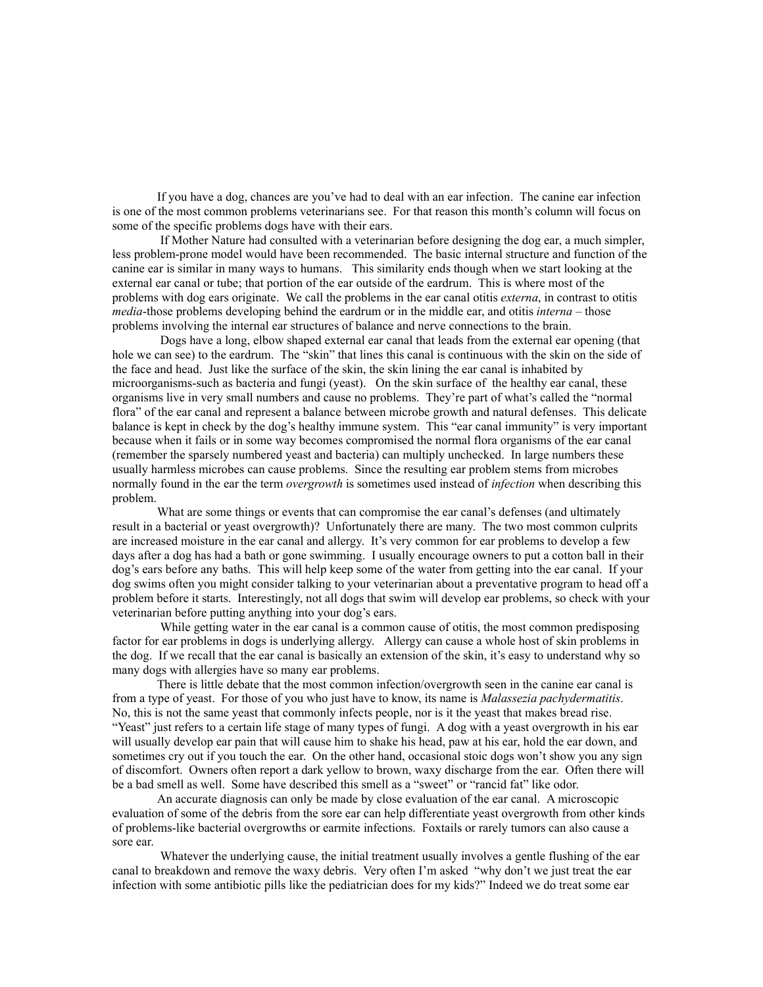If you have a dog, chances are you've had to deal with an ear infection. The canine ear infection is one of the most common problems veterinarians see. For that reason this month's column will focus on some of the specific problems dogs have with their ears.

 If Mother Nature had consulted with a veterinarian before designing the dog ear, a much simpler, less problem-prone model would have been recommended. The basic internal structure and function of the canine ear is similar in many ways to humans. This similarity ends though when we start looking at the external ear canal or tube; that portion of the ear outside of the eardrum. This is where most of the problems with dog ears originate. We call the problems in the ear canal otitis *externa*, in contrast to otitis *media*-those problems developing behind the eardrum or in the middle ear, and otitis *interna* – those problems involving the internal ear structures of balance and nerve connections to the brain.

 Dogs have a long, elbow shaped external ear canal that leads from the external ear opening (that hole we can see) to the eardrum. The "skin" that lines this canal is continuous with the skin on the side of the face and head. Just like the surface of the skin, the skin lining the ear canal is inhabited by microorganisms-such as bacteria and fungi (yeast). On the skin surface of the healthy ear canal, these organisms live in very small numbers and cause no problems. They're part of what's called the "normal flora" of the ear canal and represent a balance between microbe growth and natural defenses. This delicate balance is kept in check by the dog's healthy immune system. This "ear canal immunity" is very important because when it fails or in some way becomes compromised the normal flora organisms of the ear canal (remember the sparsely numbered yeast and bacteria) can multiply unchecked. In large numbers these usually harmless microbes can cause problems. Since the resulting ear problem stems from microbes normally found in the ear the term *overgrowth* is sometimes used instead of *infection* when describing this problem.

What are some things or events that can compromise the ear canal's defenses (and ultimately result in a bacterial or yeast overgrowth)? Unfortunately there are many. The two most common culprits are increased moisture in the ear canal and allergy. It's very common for ear problems to develop a few days after a dog has had a bath or gone swimming. I usually encourage owners to put a cotton ball in their dog's ears before any baths. This will help keep some of the water from getting into the ear canal. If your dog swims often you might consider talking to your veterinarian about a preventative program to head off a problem before it starts. Interestingly, not all dogs that swim will develop ear problems, so check with your veterinarian before putting anything into your dog's ears.

 While getting water in the ear canal is a common cause of otitis, the most common predisposing factor for ear problems in dogs is underlying allergy. Allergy can cause a whole host of skin problems in the dog. If we recall that the ear canal is basically an extension of the skin, it's easy to understand why so many dogs with allergies have so many ear problems.

There is little debate that the most common infection/overgrowth seen in the canine ear canal is from a type of yeast. For those of you who just have to know, its name is *Malassezia pachydermatitis*. No, this is not the same yeast that commonly infects people, nor is it the yeast that makes bread rise. "Yeast" just refers to a certain life stage of many types of fungi. A dog with a yeast overgrowth in his ear will usually develop ear pain that will cause him to shake his head, paw at his ear, hold the ear down, and sometimes cry out if you touch the ear. On the other hand, occasional stoic dogs won't show you any sign of discomfort. Owners often report a dark yellow to brown, waxy discharge from the ear. Often there will be a bad smell as well. Some have described this smell as a "sweet" or "rancid fat" like odor.

An accurate diagnosis can only be made by close evaluation of the ear canal. A microscopic evaluation of some of the debris from the sore ear can help differentiate yeast overgrowth from other kinds of problems-like bacterial overgrowths or earmite infections. Foxtails or rarely tumors can also cause a sore ear.

 Whatever the underlying cause, the initial treatment usually involves a gentle flushing of the ear canal to breakdown and remove the waxy debris. Very often I'm asked "why don't we just treat the ear infection with some antibiotic pills like the pediatrician does for my kids?" Indeed we do treat some ear